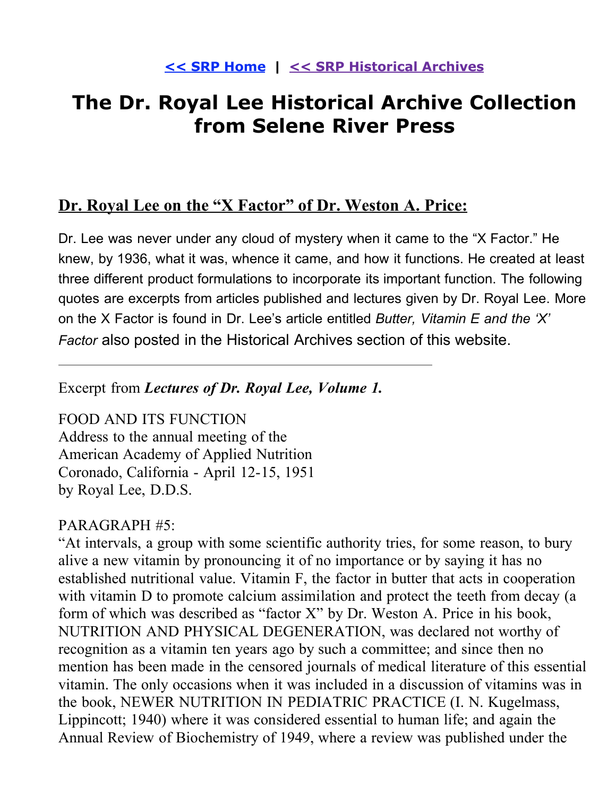# **The Dr. Royal Lee Historical Archive Collection from Selene River Press**

## **Dr. Royal Lee on the "X Factor" of Dr. Weston A. Price:**

Dr. Lee was never under any cloud of mystery when it came to the "X Factor." He knew, by 1936, what it was, whence it came, and how it functions. He created at least three different product formulations to incorporate its important function. The following quotes are excerpts from articles published and lectures given by Dr. Royal Lee. More on the X Factor is found in Dr. Lee's article entitled *Butter, Vitamin E and the 'X' Factor* also posted in the Historical Archives section of this website.

Excerpt from *Lectures of Dr. Royal Lee, Volume 1.*

FOOD AND ITS FUNCTION Address to the annual meeting of the American Academy of Applied Nutrition Coronado, California - April 12-15, 1951 by Royal Lee, D.D.S.

#### PARAGRAPH #5:

"At intervals, a group with some scientific authority tries, for some reason, to bury alive a new vitamin by pronouncing it of no importance or by saying it has no established nutritional value. Vitamin F, the factor in butter that acts in cooperation with vitamin D to promote calcium assimilation and protect the teeth from decay (a form of which was described as "factor X" by Dr. Weston A. Price in his book, NUTRITION AND PHYSICAL DEGENERATION, was declared not worthy of recognition as a vitamin ten years ago by such a committee; and since then no mention has been made in the censored journals of medical literature of this essential vitamin. The only occasions when it was included in a discussion of vitamins was in the book, NEWER NUTRITION IN PEDIATRIC PRACTICE (I. N. Kugelmass, Lippincott; 1940) where it was considered essential to human life; and again the Annual Review of Biochemistry of 1949, where a review was published under the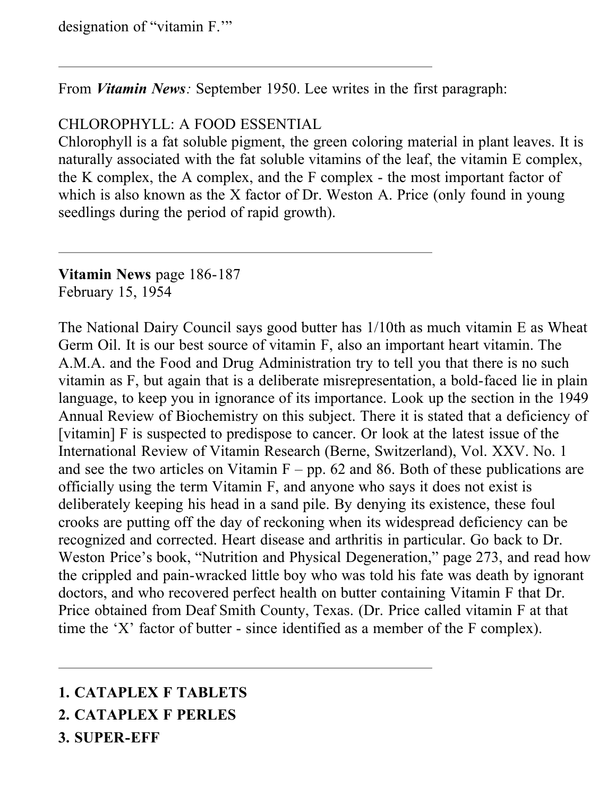From *Vitamin News:* September 1950. Lee writes in the first paragraph:

## CHLOROPHYLL: A FOOD ESSENTIAL

Chlorophyll is a fat soluble pigment, the green coloring material in plant leaves. It is naturally associated with the fat soluble vitamins of the leaf, the vitamin E complex, the K complex, the A complex, and the F complex - the most important factor of which is also known as the X factor of Dr. Weston A. Price (only found in young seedlings during the period of rapid growth).

**Vitamin News** page 186-187 February 15, 1954

The National Dairy Council says good butter has 1/10th as much vitamin E as Wheat Germ Oil. It is our best source of vitamin F, also an important heart vitamin. The A.M.A. and the Food and Drug Administration try to tell you that there is no such vitamin as F, but again that is a deliberate misrepresentation, a bold-faced lie in plain language, to keep you in ignorance of its importance. Look up the section in the 1949 Annual Review of Biochemistry on this subject. There it is stated that a deficiency of [vitamin] F is suspected to predispose to cancer. Or look at the latest issue of the International Review of Vitamin Research (Berne, Switzerland), Vol. XXV. No. 1 and see the two articles on Vitamin  $F - pp$ . 62 and 86. Both of these publications are officially using the term Vitamin F, and anyone who says it does not exist is deliberately keeping his head in a sand pile. By denying its existence, these foul crooks are putting off the day of reckoning when its widespread deficiency can be recognized and corrected. Heart disease and arthritis in particular. Go back to Dr. Weston Price's book, "Nutrition and Physical Degeneration," page 273, and read how the crippled and pain-wracked little boy who was told his fate was death by ignorant doctors, and who recovered perfect health on butter containing Vitamin F that Dr. Price obtained from Deaf Smith County, Texas. (Dr. Price called vitamin F at that time the 'X' factor of butter - since identified as a member of the F complex).

### **1. CATAPLEX F TABLETS**

**2. CATAPLEX F PERLES**

**3. SUPER-EFF**